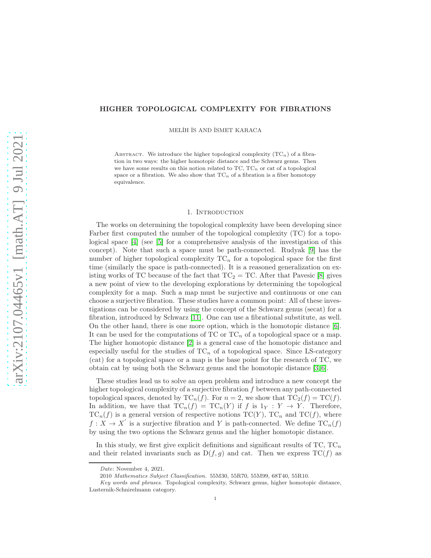## HIGHER TOPOLOGICAL COMPLEXITY FOR FIBRATIONS

MELİH İS AND İSMET KARACA

ABSTRACT. We introduce the higher topological complexity  $(TC_n)$  of a fibration in two ways: the higher homotopic distance and the Schwarz genus. Then we have some results on this notion related to  $TC$ ,  $TC_n$  or cat of a topological space or a fibration. We also show that  $TC_n$  of a fibration is a fiber homotopy equivalence.

### 1. INTRODUCTION

The works on determining the topological complexity have been developing since Farber first computed the number of the topological complexity (TC) for a topological space [\[4\]](#page-13-0) (see [\[5\]](#page-13-1) for a comprehensive analysis of the investigation of this concept). Note that such a space must be path-connected. Rudyak [\[9\]](#page-13-2) has the number of higher topological complexity  $TC_n$  for a topological space for the first time (similarly the space is path-connected). It is a reasoned generalization on existing works of TC because of the fact that  $TC_2 = TC$ . After that Pavesic [\[8\]](#page-13-3) gives a new point of view to the developing explorations by determining the topological complexity for a map. Such a map must be surjective and continuous or one can choose a surjective fibration. These studies have a common point: All of these investigations can be considered by using the concept of the Schwarz genus (secat) for a fibration, introduced by Schwarz [\[11\]](#page-13-4). One can use a fibrational substitute, as well. On the other hand, there is one more option, which is the homotopic distance [\[6\]](#page-13-5). It can be used for the computations of  $TC$  or  $TC_n$  of a topological space or a map. The higher homotopic distance [\[2\]](#page-13-6) is a general case of the homotopic distance and especially useful for the studies of  $TC_n$  of a topological space. Since LS-category (cat) for a topological space or a map is the base point for the research of TC, we obtain cat by using both the Schwarz genus and the homotopic distance [\[3,](#page-13-7) [6\]](#page-13-5).

These studies lead us to solve an open problem and introduce a new concept the higher topological complexity of a surjective fibration f between any path-connected topological spaces, denoted by  $TC_n(f)$ . For  $n = 2$ , we show that  $TC_2(f) = TC(f)$ . In addition, we have that  $TC_n(f) = TC_n(Y)$  if f is  $1_Y : Y \to Y$ . Therefore,  $TC_n(f)$  is a general version of respective notions  $TC(Y)$ ,  $TC_n$  and  $TC(f)$ , where  $f: X \to X'$  is a surjective fibration and Y is path-connected. We define  $TC_n(f)$ by using the two options the Schwarz genus and the higher homotopic distance.

In this study, we first give explicit definitions and significant results of  $TC$ ,  $TC_n$ and their related invariants such as  $D(f, g)$  and cat. Then we express  $TC(f)$  as

Date: November 4, 2021.

<sup>2010</sup> Mathematics Subject Classification. 55M30, 55R70, 55M99, 68T40, 55R10.

Key words and phrases. Topological complexity, Schwarz genus, higher homotopic distance, Lusternik-Schnirelmann category.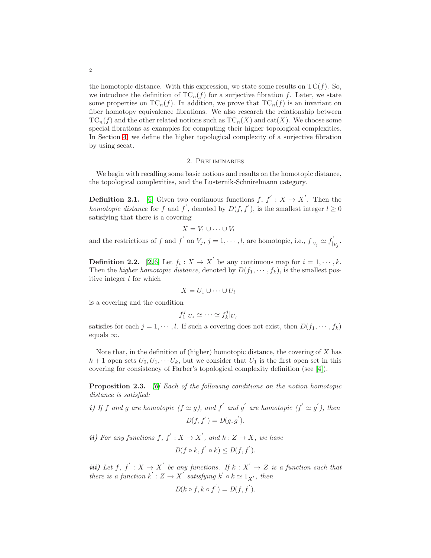the homotopic distance. With this expression, we state some results on  $TC(f)$ . So, we introduce the definition of  $TC_n(f)$  for a surjective fibration f. Later, we state some properties on  $TC_n(f)$ . In addition, we prove that  $TC_n(f)$  is an invariant on fiber homotopy equivalence fibrations. We also research the relationship between  $TC_n(f)$  and the other related notions such as  $TC_n(X)$  and cat $(X)$ . We choose some special fibrations as examples for computing their higher topological complexities. In Section [4,](#page-10-0) we define the higher topological complexity of a surjective fibration by using secat.

#### 2. Preliminaries

We begin with recalling some basic notions and results on the homotopic distance, the topological complexities, and the Lusternik-Schnirelmann category.

**Definition 2.1.** [\[6\]](#page-13-5) Given two continuous functions  $f, f' : X \to X'$ . Then the *homotopic distance* for f and f', denoted by  $D(f, f')$ , is the smallest integer  $l \geq 0$ satisfying that there is a covering

$$
X = V_1 \cup \cdots \cup V_l
$$

and the restrictions of f and f' on  $V_j$ ,  $j = 1, \dots, l$ , are homotopic, i.e.,  $f|_{V_j} \simeq f'_j$  $|_{V_j}$ .

<span id="page-1-0"></span>**Definition 2.2.** [\[2,](#page-13-6)6] Let  $f_i: X \to X'$  be any continuous map for  $i = 1, \dots, k$ . Then the *higher homotopic distance*, denoted by  $D(f_1, \dots, f_k)$ , is the smallest positive integer  $l$  for which

$$
X = U_1 \cup \cdots \cup U_l
$$

is a covering and the condition

$$
f_1^j|_{U_j}\simeq\cdots\simeq f_k^j|_{U_j}
$$

satisfies for each  $j = 1, \dots, l$ . If such a covering does not exist, then  $D(f_1, \dots, f_k)$ equals  $\infty$ .

Note that, in the definition of (higher) homotopic distance, the covering of  $X$  has  $k+1$  open sets  $U_0, U_1, \cdots, U_k$ , but we consider that  $U_1$  is the first open set in this covering for consistency of Farber's topological complexity definition (see [\[4\]](#page-13-0)).

<span id="page-1-1"></span>Proposition 2.3. *[\[6\]](#page-13-5) Each of the following conditions on the notion homotopic distance is satisfied:*

*i*) If f and g are homotopic  $(f \simeq g)$ , and f' and g' are homotopic  $(f' \simeq g')$ , then  $D(f, f') = D(g, g').$ 

*ii*) For any functions  $f, f' : X \to X'$ , and  $k : Z \to X$ , we have

$$
D(f \circ k, f^{'} \circ k) \leq D(f, f^{'}).
$$

*iii*) Let  $f, f' : X \to X'$  be any functions. If  $k : X' \to Z$  is a function such that *there is a function*  $k' : Z \to X'$  *satisfying*  $k' \circ k \simeq 1_{X'}$ *, then* 

$$
D(k \circ f, k \circ f') = D(f, f').
$$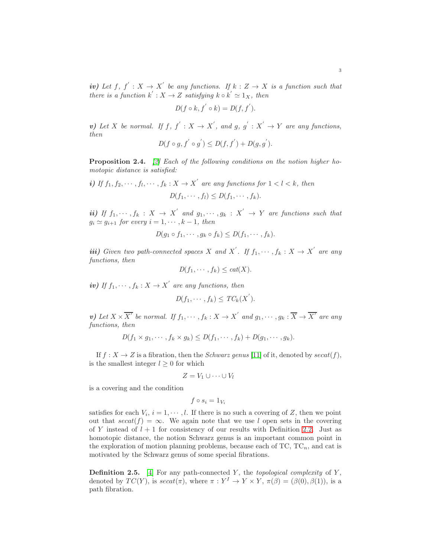$$
D(f\circ k,f^{'}\circ k)=D(f,f^{'}).
$$

v) Let X be normal. If  $f, f' : X \to X'$ , and  $g, g' : X' \to Y$  are any functions, *then* ′ ′ ′ ′

$$
D(f \circ g, f' \circ g') \le D(f, f') + D(g, g').
$$

<span id="page-2-1"></span>Proposition 2.4. *[\[2\]](#page-13-6) Each of the following conditions on the notion higher homotopic distance is satisfied:*

*i)* If 
$$
f_1, f_2, \dots, f_l, \dots, f_k : X \to X'
$$
 are any functions for  $1 < l < k$ , then  

$$
D(f_1, \dots, f_l) \leq D(f_1, \dots, f_k).
$$

*ii*) If  $f_1, \dots, f_k : X \to X'$  and  $g_1, \dots, g_k : X' \to Y$  are functions such that  $g_i \simeq g_{i+1}$  *for every*  $i = 1, \dots, k-1$ *, then* 

$$
D(g_1 \circ f_1, \cdots, g_k \circ f_k) \leq D(f_1, \cdots, f_k).
$$

*iii*) *Given two path-connected spaces* X and X'. If  $f_1, \dots, f_k : X \to X'$  are any *functions, then*

$$
D(f_1, \cdots, f_k) \leq cat(X).
$$

*iv*) If  $f_1, \dots, f_k : X \to X'$  are any functions, then

$$
D(f_1,\cdots,f_k)\leq TC_k(X^{'}).
$$

*v*) Let  $X \times \overline{X'}$  be normal. If  $f_1, \dots, f_k : X \to X'$  and  $g_1, \dots, g_k : \overline{X} \to \overline{X'}$  are any *functions, then*

$$
D(f_1 \times g_1, \cdots, f_k \times g_k) \leq D(f_1, \cdots, f_k) + D(g_1, \cdots, g_k).
$$

If  $f: X \to Z$  is a fibration, then the *Schwarz genus* [\[11\]](#page-13-4) of it, denoted by  $secat(f)$ , is the smallest integer  $l \geq 0$  for which

$$
Z = V_1 \cup \cdots \cup V_l
$$

is a covering and the condition

$$
f \circ s_i = 1_{V_i}
$$

satisfies for each  $V_i$ ,  $i = 1, \dots, l$ . If there is no such a covering of Z, then we point out that  $secat(f) = \infty$ . We again note that we use l open sets in the covering of Y instead of  $l + 1$  for consistency of our results with Definition [2.2.](#page-1-0) Just as homotopic distance, the notion Schwarz genus is an important common point in the exploration of motion planning problems, because each of  $TC$ ,  $TC_n$ , and cat is motivated by the Schwarz genus of some special fibrations.

<span id="page-2-0"></span>Definition 2.5. [\[4\]](#page-13-0) For any path-connected Y, the *topological complexity* of Y, denoted by  $TC(Y)$ , is  $secat(\pi)$ , where  $\pi : Y^I \to Y \times Y$ ,  $\pi(\beta) = (\beta(0), \beta(1))$ , is a path fibration.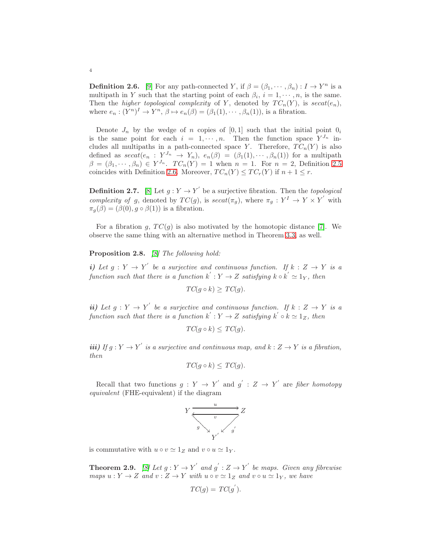<span id="page-3-0"></span>**Definition 2.6.** [\[9\]](#page-13-2) For any path-connected Y, if  $\beta = (\beta_1, \dots, \beta_n) : I \to Y^n$  is a multipath in Y such that the starting point of each  $\beta_i$ ,  $i = 1, \dots, n$ , is the same. Then the *higher topological complexity* of Y, denoted by  $TC_n(Y)$ , is  $secat(e_n)$ , where  $e_n : (Y^n)^I \to Y^n$ ,  $\beta \mapsto e_n(\beta) = (\beta_1(1), \cdots, \beta_n(1))$ , is a fibration.

Denote  $J_n$  by the wedge of n copies of [0,1] such that the initial point  $0_i$ is the same point for each  $i = 1, \dots, n$ . Then the function space  $Y^{J_n}$  includes all multipaths in a path-connected space Y. Therefore,  $TC_n(Y)$  is also defined as  $secat(e_n : Y^{J_n} \rightarrow Y_n)$ ,  $e_n(\beta) = (\beta_1(1), \cdots, \beta_n(1))$  for a multipath  $\beta = (\beta_1, \dots, \beta_n) \in Y^{J_n}$ .  $TC_n(Y) = 1$  when  $n = 1$ . For  $n = 2$ , Definition [2.5](#page-2-0) coincides with Definition [2](#page-3-0).6. Moreover,  $TC_n(Y) \leq TC_r(Y)$  if  $n+1 \leq r$ .

<span id="page-3-2"></span>**Definition 2.7.** [\[8\]](#page-13-3) Let  $g: Y \to Y'$  be a surjective fibration. Then the *topological complexity of g*, denoted by  $TC(g)$ , is  $secat(\pi_g)$ , where  $\pi_g: Y^I \to Y \times Y'$  with  $\pi_g(\beta) = (\beta(0), g \circ \beta(1))$  is a fibration.

For a fibration g,  $TC(q)$  is also motivated by the homotopic distance [\[7\]](#page-13-8). We observe the same thing with an alternative method in Theorem [3.3,](#page-6-0) as well.

# <span id="page-3-1"></span>Proposition 2.8. *[\[8\]](#page-13-3) The following hold:*

*i*) Let  $g: Y \to Y'$  be a surjective and continuous function. If  $k: Z \to Y$  is a *function such that there is a function*  $k': Y \to Z$  *satisfying*  $k \circ k' \simeq 1_Y$ *, then* 

$$
TC(g \circ k) \ge TC(g).
$$

*ii*) Let  $g: Y \to Y'$  be a surjective and continuous function. If  $k: Z \to Y$  is a *function such that there is a function*  $k': Y \to Z$  *satisfying*  $k' \circ k \simeq 1_Z$ *, then* 

$$
TC(g \circ k) \le TC(g).
$$

*iii*) If  $g: Y \to Y'$  *is a surjective and continuous map, and*  $k: Z \to Y$  *is a fibration, then*

$$
TC(g \circ k) \le TC(g).
$$

Recall that two functions  $g: Y \to Y'$  and  $g': Z \to Y'$  are *fiber homotopy equivalent* (FHE-equivalent) if the diagram

$$
Y \xrightarrow{u} Z
$$
\n
$$
y \xrightarrow{v} y'
$$
\n
$$
Y'
$$
\n
$$
Y'
$$
\n
$$
Y'
$$

is commutative with  $u \circ v \simeq 1_Z$  and  $v \circ u \simeq 1_Y$ .

**Theorem 2.9.** *[\[8\]](#page-13-3)* Let  $g: Y \to Y'$  and  $g' : Z \to Y'$  be maps. Given any fibrewise *maps*  $u: Y \to Z$  *and*  $v: Z \to Y$  *with*  $u \circ v \simeq 1_Z$  *and*  $v \circ u \simeq 1_Y$ *, we have* 

$$
TC(g) = TC(g^{'}).
$$

## 4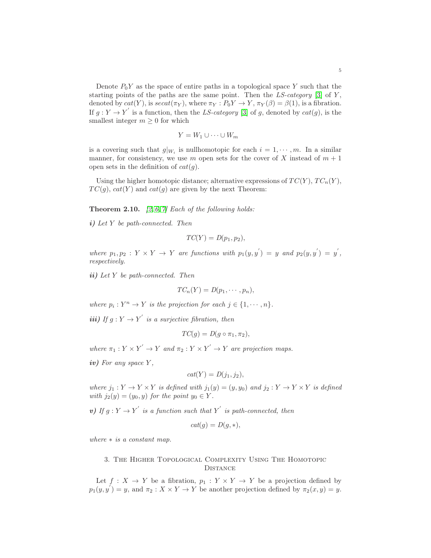Denote  $P_0Y$  as the space of entire paths in a topological space Y such that the starting points of the paths are the same point. Then the  $LS$ -category [\[3\]](#page-13-7) of Y, denoted by  $cat(Y)$ , is  $secat(\pi_Y)$ , where  $\pi_Y : P_0Y \to Y$ ,  $\pi_Y(\beta) = \beta(1)$ , is a fibration. If  $g: Y \to Y'$  is a function, then the *LS-category* [\[3\]](#page-13-7) of g, denoted by  $cat(g)$ , is the smallest integer  $m \geq 0$  for which

$$
Y = W_1 \cup \cdots \cup W_m
$$

is a covering such that  $g|_{W_i}$  is nullhomotopic for each  $i = 1, \dots, m$ . In a similar manner, for consistency, we use m open sets for the cover of X instead of  $m + 1$ open sets in the definition of  $cat(g)$ .

Using the higher homotopic distance; alternative expressions of  $TC(Y)$ ,  $TC_n(Y)$ ,  $TC(g)$ ,  $cat(Y)$  and  $cat(g)$  are given by the next Theorem:

Theorem 2.10. *[\[2,](#page-13-6) [6,](#page-13-5) [7\]](#page-13-8) Each of the following holds:*

i) *Let* Y *be path-connected. Then*

$$
TC(Y) = D(p_1, p_2),
$$

where  $p_1, p_2 : Y \times Y \to Y$  are functions with  $p_1(y, y') = y$  and  $p_2(y, y') = y'$ , *respectively.*

ii) *Let* Y *be path-connected. Then*

$$
TC_n(Y) = D(p_1, \cdots, p_n),
$$

*where*  $p_i: Y^n \to Y$  *is the projection for each*  $j \in \{1, \dots, n\}$ *.* 

*iii*) If  $g: Y \to Y'$  is a surjective fibration, then

$$
TC(g) = D(g \circ \pi_1, \pi_2),
$$

where  $\pi_1: Y \times Y' \to Y$  and  $\pi_2: Y \times Y' \to Y$  are projection maps.

iv) *For any space* Y *,*

$$
cat(Y) = D(j_1, j_2),
$$

*where*  $j_1: Y \to Y \times Y$  *is defined with*  $j_1(y) = (y, y_0)$  *and*  $j_2: Y \to Y \times Y$  *is defined with*  $j_2(y) = (y_0, y)$  *for the point*  $y_0 \in Y$ *.* 

v) If  $g: Y \to Y'$  is a function such that Y' is path-connected, then

$$
cat(g) = D(g, *),
$$

<span id="page-4-0"></span>*where* ∗ *is a constant map.*

## 3. The Higher Topological Complexity Using The Homotopic **DISTANCE**

Let  $f: X \to Y$  be a fibration,  $p_1: Y \times Y \to Y$  be a projection defined by  $p_1(y, y') = y$ , and  $\pi_2 : X \times Y \to Y$  be another projection defined by  $\pi_2(x, y) = y$ .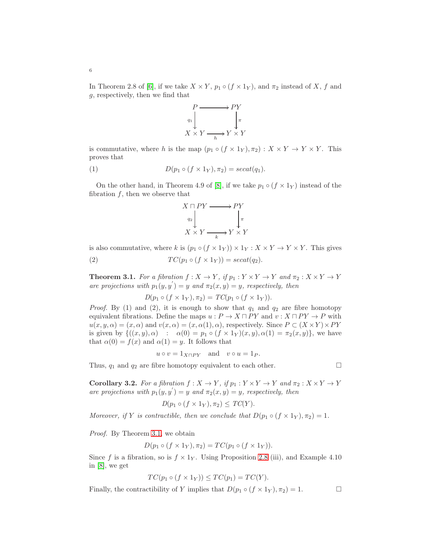In Theorem 2.8 of [\[6\]](#page-13-5), if we take  $X \times Y$ ,  $p_1 \circ (f \times 1_Y)$ , and  $\pi_2$  instead of X, f and g, respectively, then we find that



is commutative, where h is the map  $(p_1 \circ (f \times 1_Y), \pi_2) : X \times Y \to Y \times Y$ . This proves that

(1) 
$$
D(p_1 \circ (f \times 1_Y), \pi_2) = secat(q_1).
$$

On the other hand, in Theorem 4.9 of [\[8\]](#page-13-3), if we take  $p_1 \circ (f \times 1_Y)$  instead of the fibration  $f$ , then we observe that



is also commutative, where k is  $(p_1 \circ (f \times 1_Y)) \times 1_Y : X \times Y \to Y \times Y$ . This gives

(2) 
$$
TC(p_1 \circ (f \times 1_Y)) = secat(q_2).
$$

<span id="page-5-0"></span>**Theorem 3.1.** *For a fibration*  $f: X \to Y$ *, if*  $p_1: Y \times Y \to Y$  *and*  $\pi_2: X \times Y \to Y$ *are projections with*  $p_1(y, y') = y$  *and*  $\pi_2(x, y) = y$ *, respectively, then* 

$$
D(p_1 \circ (f \times 1_Y), \pi_2) = TC(p_1 \circ (f \times 1_Y)).
$$

*Proof.* By (1) and (2), it is enough to show that  $q_1$  and  $q_2$  are fibre homotopy equivalent fibrations. Define the maps  $u : P \to X \sqcap PY$  and  $v : X \sqcap PY \to P$  with  $u(x, y, \alpha) = (x, \alpha)$  and  $v(x, \alpha) = (x, \alpha(1), \alpha)$ , respectively. Since  $P \subset (X \times Y) \times PY$ is given by  $\{((x, y), \alpha) : \alpha(0) = p_1 \circ (f \times 1_Y)(x, y), \alpha(1) = \pi_2(x, y)\}\)$ , we have that  $\alpha(0) = f(x)$  and  $\alpha(1) = y$ . It follows that

$$
u \circ v = 1_{X \sqcap PY}
$$
 and  $v \circ u = 1_P$ .

Thus,  $q_1$  and  $q_2$  are fibre homotopy equivalent to each other.

**Corollary 3.2.** *For a fibration*  $f: X \to Y$ *, if*  $p_1: Y \times Y \to Y$  *and*  $\pi_2: X \times Y \to Y$ *are projections with*  $p_1(y, y') = y$  *and*  $\pi_2(x, y) = y$ *, respectively, then* 

$$
D(p_1 \circ (f \times 1_Y), \pi_2) \leq TC(Y).
$$

*Moreover, if* Y *is contractible, then we conclude that*  $D(p_1 \circ (f \times 1_Y), \pi_2) = 1$ *.* 

*Proof.* By Theorem [3.1,](#page-5-0) we obtain

$$
D(p_1 \circ (f \times 1_Y), \pi_2) = TC(p_1 \circ (f \times 1_Y)).
$$

Since f is a fibration, so is  $f \times 1_Y$ . Using Proposition [2.8](#page-3-1) (iii), and Example 4.10 in [\[8\]](#page-13-3), we get

$$
TC(p_1 \circ (f \times 1_Y)) \le TC(p_1) = TC(Y).
$$

Finally, the contractibility of Y implies that  $D(p_1 \circ (f \times 1_Y), \pi_2) = 1.$ 

6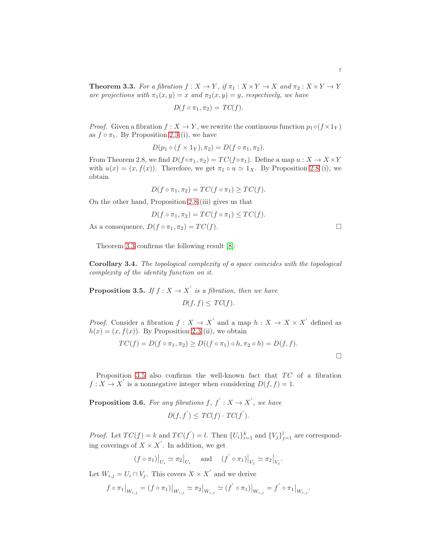<span id="page-6-0"></span>**Theorem 3.3.** *For a fibration*  $f: X \to Y$ *, if*  $\pi_1: X \times Y \to X$  *and*  $\pi_2: X \times Y \to Y$ *are projections with*  $\pi_1(x, y) = x$  *and*  $\pi_2(x, y) = y$ *, respectively, we have* 

$$
D(f \circ \pi_1, \pi_2) = TC(f).
$$

*Proof.* Given a fibration  $f: X \to Y$ , we rewrite the continuous function  $p_1 \circ (f \times 1_Y)$ as  $f \circ \pi_1$ . By Proposition [2.3](#page-1-1) (i), we have

$$
D(p_1 \circ (f \times 1_Y), \pi_2) = D(f \circ \pi_1, \pi_2).
$$

From Theorem 2.8, we find  $D(f \circ \pi_1, \pi_2) = TC(f \circ \pi_1)$ . Define a map  $u : X \to X \times Y$ with  $u(x) = (x, f(x))$ . Therefore, we get  $\pi_1 \circ u \simeq 1_X$ . By Proposition [2.8](#page-3-1) (i), we obtain

$$
D(f \circ \pi_1, \pi_2) = TC(f \circ \pi_1) \ge TC(f).
$$

On the other hand, Proposition [2.8](#page-3-1) (iii) gives us that

$$
D(f \circ \pi_1, \pi_2) = TC(f \circ \pi_1) \le TC(f).
$$

As a consequence,  $D(f \circ \pi_1, \pi_2) = TC(f)$ .

Theorem [3.3](#page-6-0) confirms the following result [\[8\]](#page-13-3):

Corollary 3.4. *The topological complexity of a space coincides with the topological complexity of the identity function on it.*

<span id="page-6-1"></span>**Proposition 3.5.** *If*  $f : X \to X'$  *is a fibration, then we have*  $D(f, f) \leq TC(f).$ 

*Proof.* Consider a fibration  $f: X \to X'$  and a map  $h: X \to X \times X'$  defined as  $h(x) = (x, f(x))$ . By Proposition [2.3](#page-1-1) (ii), we obtain

$$
TC(f) = D(f \circ \pi_1, \pi_2) \ge D((f \circ \pi_1) \circ h, \pi_2 \circ h) = D(f, f).
$$

Proposition [3.5](#page-6-1) also confirms the well-known fact that  $TC$  of a fibration  $f: X \to X'$  is a nonnegative integer when considering  $D(f, f) = 1$ .

**Proposition 3.6.** For any fibrations  $f, f' : X \to X'$ , we have

$$
D(f, f^{'}) \leq TC(f) \cdot TC(f^{'}).
$$

*Proof.* Let  $TC(f) = k$  and  $TC(f') = l$ . Then  ${U_i}_{i=1}^k$  and  ${V_j}_{j=1}^l$  are corresponding coverings of  $X \times X'$ . In addition, we get

$$
(f\circ\pi_1)\big|_{U_i}\simeq \pi_2\big|_{U_i}\quad \text{ and }\quad (f^{'}\circ\pi_1)\big|_{V_j}\simeq \pi_2\big|_{V_j}.
$$

Let  $W_{i,j} = U_i \cap V_j$ . This covers  $X \times X'$  and we derive

$$
f\circ\pi_1\big|_{W_{i,j}}=(f\circ\pi_1)\big|_{W_{i,j}}\simeq\pi_2\big|_{W_{i,j}}\simeq(f^{'}\circ\pi_1)\big|_{W_{i,j}}=f^{'}\circ\pi_1\big|_{W_{i,j}}.
$$

 $\Box$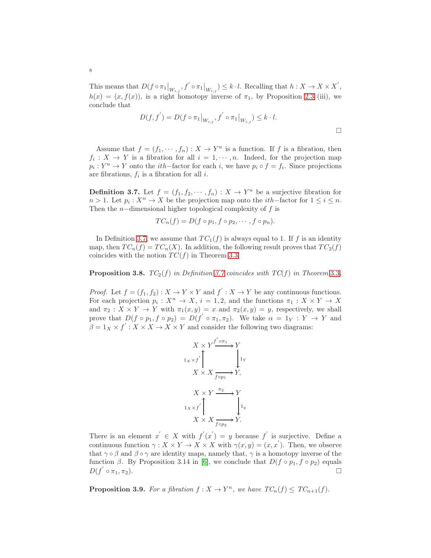This means that  $D(f \circ \pi_1|_{W_{i,j}}, f' \circ \pi_1|_{W_{i,j}}) \leq k \cdot l$ . Recalling that  $h: X \to X \times X'$ ,  $h(x) = (x, f(x))$ , is a right homotopy inverse of  $\pi_1$ , by Proposition [2.3](#page-1-1) (iii), we conclude that

$$
D(f, f') = D(f \circ \pi_1 |_{W_{i,j}}, f' \circ \pi_1 |_{W_{i,j}}) \leq k \cdot l.
$$

Assume that  $f = (f_1, \dots, f_n) : X \to Y^n$  is a function. If f is a fibration, then  $f_i: X \to Y$  is a fibration for all  $i = 1, \dots, n$ . Indeed, for the projection map  $p_i: Y^n \to Y$  onto the *i*th–factor for each *i*, we have  $p_i \circ f = f_i$ . Since projections are fibrations,  $f_i$  is a fibration for all *i*.

<span id="page-7-0"></span>**Definition 3.7.** Let  $f = (f_1, f_2, \dots, f_n) : X \to Y^n$  be a surjective fibration for  $n > 1$ . Let  $p_i : X^n \to X$  be the projection map onto the *i*th–factor for  $1 \le i \le n$ . Then the  $n$ -dimensional higher topological complexity of f is

$$
TC_n(f) = D(f \circ p_1, f \circ p_2, \cdots, f \circ p_n).
$$

In Definition [3.7,](#page-7-0) we assume that  $TC_1(f)$  is always equal to 1. If f is an identity map, then  $TC_n(f) = TC_n(X)$ . In addition, the following result proves that  $TC_2(f)$ coincides with the notion  $TC(f)$  in Theorem [3.3.](#page-6-0)

**Proposition [3](#page-6-0).8.**  $TC_2(f)$  *in Definition [3.7](#page-7-0) coincides with*  $TC(f)$  *in Theorem 3.3.* 

*Proof.* Let  $f = (f_1, f_2) : X \to Y \times Y$  and  $f' : X \to Y$  be any continuous functions. For each projection  $p_i: X^n \to X$ ,  $i = 1, 2$ , and the functions  $\pi_1: X \times Y \to X$ and  $\pi_2: X \times Y \to Y$  with  $\pi_1(x, y) = x$  and  $\pi_2(x, y) = y$ , respectively, we shall prove that  $D(f \circ p_1, f \circ p_2) = D(f' \circ \pi_1, \pi_2)$ . We take  $\alpha = 1_Y : Y \to Y$  and  $\beta = 1_X \times f' : X \times X \to X \times Y$  and consider the following two diagrams:

$$
X \times Y \xrightarrow{f' \circ \pi_1} Y
$$
  
\n
$$
1_X \times f' \downarrow \qquad \qquad 1_Y
$$
  
\n
$$
X \times X \xrightarrow{f \circ p_1} Y,
$$
  
\n
$$
1_X \times f' \uparrow \qquad \qquad 1_y
$$
  
\n
$$
X \times X \xrightarrow{f \circ p_2} Y.
$$

There is an element  $x' \in X$  with  $f'(x') = y$  because  $f'$  is surjective. Define a continuous function  $\gamma: X \times Y \to X \times X$  with  $\gamma(x, y) = (x, x')$ . Then, we observe that  $\gamma \circ \beta$  and  $\beta \circ \gamma$  are identity maps, namely that,  $\gamma$  is a homotopy inverse of the function  $\beta$ . By Proposition 3.14 in [\[6\]](#page-13-5), we conclude that  $D(f \circ p_1, f \circ p_2)$  equals  $D(f^{'})$  $\circ$   $\pi_1, \pi_2$ ).

<span id="page-7-1"></span>**Proposition 3.9.** For a fibration  $f: X \to Y^n$ , we have  $TC_n(f) \leq TC_{n+1}(f)$ .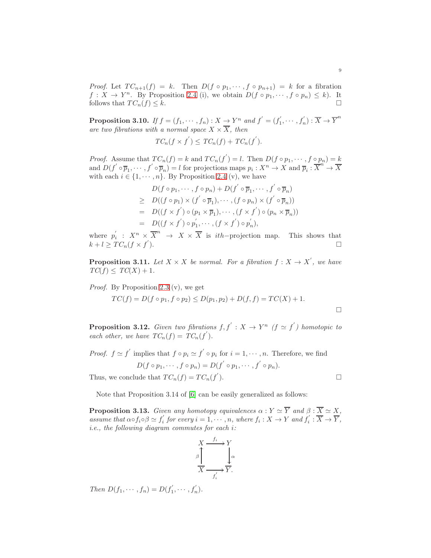*Proof.* Let  $TC_{n+1}(f) = k$ . Then  $D(f \circ p_1, \dots, f \circ p_{n+1}) = k$  for a fibration  $f: X \to Y^n$ . By Proposition [2.4](#page-2-1) (i), we obtain  $D(f \circ p_1, \dots, f \circ p_n) \leq k$ ). It follows that  $TC_n(f) \leq k$ .

**Proposition 3.10.** *If*  $f = (f_1, \dots, f_n) : X \to Y^n$  *and*  $f' = (f'_1)$  $f'_{1}, \cdots, f'_{n}$ ) :  $\overline{X} \rightarrow \overline{Y}^{n}$ *are two fibrations with a normal space*  $X \times \overline{X}$ *, then* 

$$
TC_n(f \times f^{'}) \le TC_n(f) + TC_n(f^{'}).
$$

*Proof.* Assume that  $TC_n(f) = k$  and  $TC_n(f') = l$ . Then  $D(f \circ p_1, \dots, f \circ p_n) = k$ and  $D(f' \circ \overline{p}_1, \dots, f' \circ \overline{p}_n) = l$  for projections maps  $p_i : X^n \to X$  and  $\overline{p}_i : \overline{X}^n \to \overline{X}$ with each  $i \in \{1, \dots, n\}$ . By Proposition [2.4](#page-2-1) (v), we have

$$
D(f \circ p_1, \cdots, f \circ p_n) + D(f^{'} \circ \overline{p}_1, \cdots, f^{'} \circ \overline{p}_n)
$$
  
\n
$$
\geq D((f \circ p_1) \times (f^{'} \circ \overline{p}_1), \cdots, (f \circ p_n) \times (f^{'} \circ \overline{p}_n))
$$
  
\n
$$
= D((f \times f^{'}) \circ (p_1 \times \overline{p}_1), \cdots, (f \times f^{'}) \circ (p_n \times \overline{p}_n))
$$
  
\n
$$
= D((f \times f^{'}) \circ p_1^{'} , \cdots, (f \times f^{'}) \circ p_n^{'}),
$$

where  $p_i^{'}$  $i: X^n \times \overline{X}^n \rightarrow X \times \overline{X}$  is *ith*-projection map. This shows that  $k + l \geq TC_n(f \times f').$ 

**Proposition 3.11.** Let  $X \times X$  be normal. For a fibration  $f : X \to X'$ , we have  $TC(f) \leq TC(X) + 1.$ 

*Proof.* By Proposition [2.3](#page-1-1) (v), we get

$$
TC(f) = D(f \circ p_1, f \circ p_2) \le D(p_1, p_2) + D(f, f) = TC(X) + 1.
$$

**Proposition 3.12.** *Given two fibrations*  $f, f' : X \to Y^n$  *(f*  $\simeq f'$ *) homotopic to each other, we have*  $TC_n(f) = TC_n(f')$ .

*Proof.* 
$$
f \simeq f'
$$
 implies that  $f \circ p_i \simeq f' \circ p_i$  for  $i = 1, \dots, n$ . Therefore, we find  
\n
$$
D(f \circ p_1, \dots, f \circ p_n) = D(f' \circ p_1, \dots, f' \circ p_n).
$$
\nThus, we conclude that  $TC_n(f) = TC_n(f').$ 

Thus, we conclude that  $TC_n(f) = TC_n(f)$ .

Note that Proposition 3.14 of [\[6\]](#page-13-5) can be easily generalized as follows:

<span id="page-8-0"></span>**Proposition 3.13.** *Given any homotopy equivalences*  $\alpha : Y \simeq \overline{Y}$  *and*  $\beta : \overline{X} \simeq X$ *, assume that*  $\alpha \circ f_i \circ \beta \simeq f'_i$  $g'_{i}$  for every  $i = 1, \dots, n$ , where  $f_i : X \to Y$  and  $f'_{i}$  $Y_i : \overline{X} \to \overline{Y},$ *i.e., the following diagram commutes for each* i*:*

$$
\begin{array}{ccc}\nX & \xrightarrow{f_i} & Y \\
\beta & & \downarrow \alpha \\
\hline\nX & \xrightarrow{f_i'} & Y.\n\end{array}
$$

*Then*  $D(f_1, \dots, f_n) = D(f'_1)$  $f'_{1}, \cdots, f'_{n}$ ).

$$
\Box
$$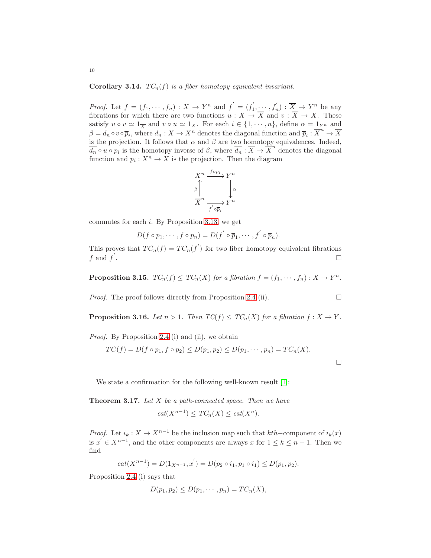**Corollary 3.14.**  $TC_n(f)$  *is a fiber homotopy equivalent invariant.* 

*Proof.* Let  $f = (f_1, \dots, f_n) : X \to Y^n$  and  $f' = (f'_1)$  $f'_1, \dots, f'_n : \overline{X} \to Y^n$  be any fibrations for which there are two functions  $u : X \to X$  and  $v : X \to X$ . These satisfy  $u \circ v \simeq 1_{\overline{X}}$  and  $v \circ u \simeq 1_X$ . For each  $i \in \{1, \dots, n\}$ , define  $\alpha = 1_{Y^n}$  and  $\beta = d_n \circ v \circ \overline{p}_i$ , where  $d_n: X \to X^n$  denotes the diagonal function and  $\overline{p}_i: \overline{X}^n \to \overline{X}$ is the projection. It follows that  $\alpha$  and  $\beta$  are two homotopy equivalences. Indeed,  $\overline{d_n} \circ u \circ p_i$  is the homotopy inverse of  $\beta$ , where  $\overline{d_n} : \overline{X} \to \overline{X}^n$  denotes the diagonal function and  $p_i: X^n \to X$  is the projection. Then the diagram



commutes for each  $i$ . By Proposition [3.13,](#page-8-0) we get

$$
D(f\circ p_1,\cdots,f\circ p_n)=D(f^{'}\circ\overline{p}_1,\cdots,f^{'}\circ\overline{p}_n).
$$

This proves that  $TC_n(f) = TC_n(f')$  for two fiber homotopy equivalent fibrations  $f$  and  $f'$ . In the contract of the contract of the contract of the contract of the contract of the contract of the contract of the contract of the contract of the contract of the contract of the contract of the contract of the contr

<span id="page-9-1"></span>**Proposition 3.15.**  $TC_n(f) \le TC_n(X)$  *for a fibration*  $f = (f_1, \dots, f_n) : X \to Y^n$ .

*Proof.* The proof follows directly from Proposition [2.4](#page-2-1) (ii).  $\Box$ 

<span id="page-9-2"></span>**Proposition 3.16.** *Let*  $n > 1$ *. Then*  $TC(f) \leq TC_n(X)$  *for a fibration*  $f : X \to Y$ *.* 

*Proof.* By Proposition [2.4](#page-2-1) (i) and (ii), we obtain

$$
TC(f) = D(f \circ p_1, f \circ p_2) \le D(p_1, p_2) \le D(p_1, \dots, p_n) = TC_n(X).
$$

 $\Box$ 

We state a confirmation for the following well-known result [\[1\]](#page-13-9):

<span id="page-9-0"></span>Theorem 3.17. *Let* X *be a path-connected space. Then we have*

$$
cat(X^{n-1}) \le TC_n(X) \le cat(X^n).
$$

*Proof.* Let  $i_k : X \to X^{n-1}$  be the inclusion map such that  $kth$ –component of  $i_k(x)$ is  $x^{n} \in X^{n-1}$ , and the other components are always x for  $1 \leq k \leq n-1$ . Then we find

$$
cat(X^{n-1}) = D(1_{X^{n-1}}, x') = D(p_2 \circ i_1, p_1 \circ i_1) \le D(p_1, p_2).
$$

Proposition [2.4](#page-2-1) (i) says that

$$
D(p_1, p_2) \le D(p_1, \cdots, p_n) = TC_n(X),
$$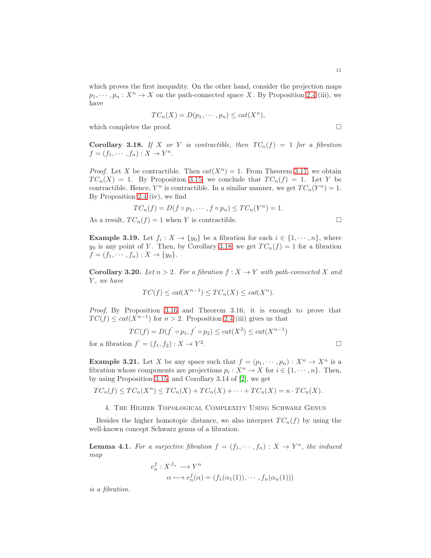which proves the first inequality. On the other hand, consider the projection maps  $p_1, \dots, p_n : X^n \to X$  on the path-connected space X. By Proposition [2.4](#page-2-1) (iii), we have

$$
TC_n(X) = D(p_1, \cdots, p_n) \leq cat(X^n),
$$

which completes the proof.  $\Box$ 

<span id="page-10-1"></span>**Corollary 3.18.** If X or Y is contractible, then  $TC_n(f) = 1$  for a fibration  $f = (f_1, \dots, f_n) : X \to Y^n$ .

*Proof.* Let X be contractible. Then  $cat(X^n) = 1$ . From Theorem [3.17,](#page-9-0) we obtain  $TC_n(X) = 1$ . By Proposition [3.15,](#page-9-1) we conclude that  $TC_n(f) = 1$ . Let Y be contractible. Hence,  $Y^n$  is contractible. In a similar manner, we get  $TC_n(Y^n) = 1$ . By Proposition [2.4](#page-2-1) (iv), we find

$$
TC_n(f) = D(f \circ p_1, \cdots, f \circ p_n) \le TC_n(Y^n) = 1.
$$

As a result,  $TC_n(f) = 1$  when Y is contractible.

**Example 3.19.** Let  $f_i: X \to \{y_0\}$  be a fibration for each  $i \in \{1, \dots, n\}$ , where  $y_0$  is any point of Y. Then, by Corollary [3.18,](#page-10-1) we get  $TC_n(f) = 1$  for a fibration  $f = (f_1, \dots, f_n) : X \to \{y_0\}.$ 

**Corollary 3.20.** *Let*  $n > 2$ *. For a fibration*  $f: X \rightarrow Y$  *with path-connected* X *and* Y *, we have*

$$
TC(f) \leq cat(X^{n-1}) \leq TC_n(X) \leq cat(X^n).
$$

*Proof.* By Proposition [3.16](#page-9-2) and Theorem 3.16, it is enough to prove that  $TC(f) \leq cat(X^{n-1})$  for  $n > 2$ . Proposition [2.4](#page-2-1) (iii) gives us that

$$
TC(f) = D(f' \circ p_1, f' \circ p_2) \leq cat(X^2) \leq cat(X^{n-1})
$$
  
for a fibration  $f' = (f_1, f_2) : X \to Y^2$ .

**Example 3.21.** Let X be any space such that  $f = (p_1, \dots, p_n) : X^n \to X^n$  is a fibration whose components are projections  $p_i: X^n \to X$  for  $i \in \{1, \dots, n\}$ . Then, by using Proposition [3.15,](#page-9-1) and Corollary 3.14 of [\[2\]](#page-13-6), we get

<span id="page-10-0"></span>
$$
TC_n(f) \le TC_n(X^n) \le TC_n(X) + TC_n(X) + \cdots + TC_n(X) = n \cdot TC_n(X).
$$

4. The Higher Topological Complexity Using Schwarz Genus

Besides the higher homotopic distance, we also interpret  $TC_n(f)$  by using the well-known concept Schwarz genus of a fibration.

**Lemma 4.1.** For a surjective fibration  $f = (f_1, \dots, f_n) : X \to Y^n$ , the induced *map*

$$
e_n^f: X^{J_n} \longrightarrow Y^n
$$
  

$$
\alpha \longmapsto e_n^f(\alpha) = (f_1(\alpha_1(1)), \cdots, f_n(\alpha_n(1)))
$$

*is a fibration.*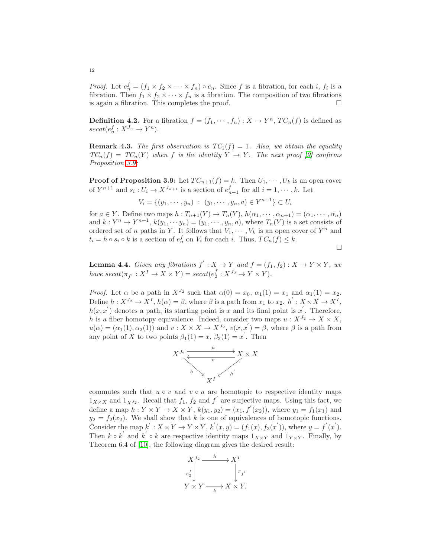*Proof.* Let  $e_n^f = (f_1 \times f_2 \times \cdots \times f_n) \circ e_n$ . Since f is a fibration, for each i,  $f_i$  is a fibration. Then  $f_1 \times f_2 \times \cdots \times f_n$  is a fibration. The composition of two fibrations is again a fibration. This completes the proof.  $\Box$ 

<span id="page-11-1"></span>**Definition 4.2.** For a fibration  $f = (f_1, \dots, f_n) : X \to Y^n$ ,  $TC_n(f)$  is defined as  $\operatorname{secat}(e_n^f : X^{J_n} \to Y^n).$ 

**Remark 4.3.** *The first observation is*  $TC_1(f) = 1$ *. Also, we obtain the equality*  $TC_n(f) = TC_n(Y)$  *when* f *is the identity*  $Y \to Y$ *. The next proof* [\[9\]](#page-13-2) *confirms Proposition [3.9:](#page-7-1)*

**Proof of Proposition 3.9:** Let  $TC_{n+1}(f) = k$ . Then  $U_1, \dots, U_k$  is an open cover of  $Y^{n+1}$  and  $s_i: U_i \to X^{J_{n+1}}$  is a section of  $e_{n+1}^f$  for all  $i = 1, \dots, k$ . Let

$$
V_i = \{(y_1, \dots, y_n) : (y_1, \dots, y_n, a) \in Y^{n+1}\} \subset U_i
$$

for  $a \in Y$ . Define two maps  $h: T_{n+1}(Y) \to T_n(Y)$ ,  $h(\alpha_1, \dots, \alpha_{n+1}) = (\alpha_1, \dots, \alpha_n)$ and  $k: Y^n \to Y^{n+1}$ ,  $k(y_1, \dots, y_n) = (y_1, \dots, y_n, a)$ , where  $T_n(Y)$  is a set consists of ordered set of n paths in Y. It follows that  $V_1, \dots, V_k$  is an open cover of  $Y^n$  and  $t_i = h \circ s_i \circ k$  is a section of  $e_n^f$  on  $V_i$  for each i. Thus,  $TC_n(f) \leq k$ .

 $\Box$ 

<span id="page-11-0"></span>**Lemma 4.4.** *Given any fibrations*  $f' : X \to Y$  *and*  $f = (f_1, f_2) : X \to Y \times Y$ *, we* have  $\text{secat}(\pi_{f'} : X^I \to X \times Y) = \text{secat}(e_2^f : X^{J_2} \to Y \times Y)$ .

*Proof.* Let  $\alpha$  be a path in  $X^{J_2}$  such that  $\alpha(0) = x_0$ ,  $\alpha_1(1) = x_1$  and  $\alpha_1(1) = x_2$ . Define  $h: X^{J_2} \to X^I$ ,  $h(\alpha) = \beta$ , where  $\beta$  is a path from  $x_1$  to  $x_2$ .  $h' : X \times X \to X^I$ ,  $h(x, x')$  denotes a path, its starting point is x and its final point is x'. Therefore, h is a fiber homotopy equivalence. Indeed, consider two maps  $u: X^{J_2} \to X \times X$ ,  $u(\alpha) = (\alpha_1(1), \alpha_2(1))$  and  $v: X \times X \to X^{J_2}$ ,  $v(x, x') = \beta$ , where  $\beta$  is a path from any point of X to two points  $\beta_1(1) = x$ ,  $\beta_2(1) = x'$ . Then



commutes such that  $u \circ v$  and  $v \circ u$  are homotopic to respective identity maps  $1_{X\times X}$  and  $1_{X^{J_2}}$ . Recall that  $f_1, f_2$  and  $f'$  are surjective maps. Using this fact, we define a map  $k: Y \times Y \rightarrow X \times Y$ ,  $k(y_1, y_2) = (x_1, f'(x_2))$ , where  $y_1 = f_1(x_1)$  and  $y_2 = f_2(x_2)$ . We shall show that k is one of equivalences of homotopic functions. Consider the map  $k': X \times Y \to Y \times Y$ ,  $k'(x, y) = (f_1(x), f_2(x'))$ , where  $y = f'(x')$ . Then  $k \circ k'$  and  $k' \circ k$  are respective identity maps  $1_{X \times Y}$  and  $1_{Y \times Y}$ . Finally, by Theorem 6.4 of [\[10\]](#page-13-10), the following diagram gives the desired result:



12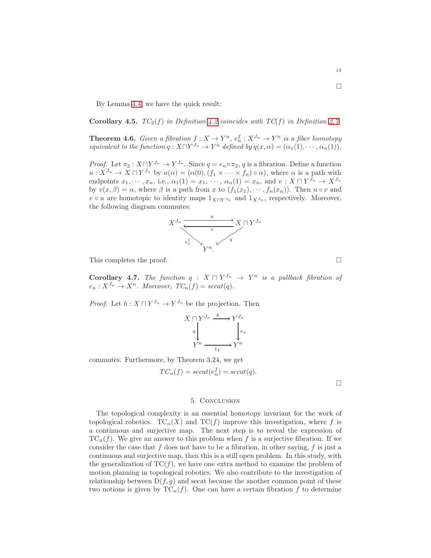By Lemma [4.4,](#page-11-0) we have the quick result:

**Corollary 4.5.**  $TC_2(f)$  *in Definition* [4.2](#page-11-1) *coincides with*  $TC(f)$  *in Definition* [2.7.](#page-3-2)

**Theorem 4.6.** *Given a fibration*  $f: X \to Y^n$ ,  $e_n^f: X^{J_n} \to Y^n$  *is a fiber homotopy equivalent to the function*  $q: X \sqcap Y^{J_n} \to Y^n$  *defined by*  $q(x, \alpha) = (\alpha_1(1), \cdots, \alpha_n(1)).$ 

*Proof.* Let  $\pi_2 : X \sqcap Y^{J_n} \to Y^{J_n}$ . Since  $q = e_n \circ \pi_2$ , q is a fibration. Define a function  $u: X^{J_n} \to X \sqcap Y^{J_n}$  by  $u(\alpha) = (\alpha(0), (f_1 \times \cdots \times f_n) \circ \alpha)$ , where  $\alpha$  is a path with endpoints  $x_1, \dots, x_n$ , i.e.,  $\alpha_1(1) = x_1, \dots, \alpha_n(1) = x_n$ , and  $v: X \sqcap Y^{J_n} \to X^{J_n}$ by  $v(x, \beta) = \alpha$ , where  $\beta$  is a path from x to  $(f_1(x_1), \dots, f_n(x_n))$ . Then  $u \circ v$  and v ∘ u are homotopic to identity maps  $1_{X\sqcap Y}$  and  $1_{X}$  , respectively. Moreover, the following diagram commutes:



This completes the proof.  $\Box$ 

**Corollary 4.7.** *The function*  $q : X \sqcap Y^{J_n} \rightarrow Y^n$  *is a pullback fibration of*  $e_n: X^{J_n} \to X^n$ . Moreover,  $TC_n(f) = secat(q)$ .

*Proof.* Let  $h: X \sqcap Y^{J_n} \to Y^{J_n}$  be the projection. Then

$$
X \sqcap Y^{J_n} \xrightarrow{h} Y^{J_n}
$$
  
\n
$$
q \downarrow \qquad \qquad \downarrow e_n
$$
  
\n
$$
Y^n \xrightarrow{1_Y} Y^n
$$

commutes. Furthermore, by Theorem 3.24, we get

$$
TC_n(f) = secat(e_n^f) = secat(q).
$$

 $\Box$ 

#### 5. Conclusion

The topological complexity is an essential homotopy invariant for the work of topological robotics.  $TC_n(X)$  and  $TC(f)$  improve this investigation, where f is a continuous and surjective map. The next step is to reveal the expression of  $TC_n(f)$ . We give an answer to this problem when f is a surjective fibration. If we consider the case that  $f$  does not have to be a fibration, in other saying,  $f$  is just a continuous and surjective map, then this is a still open problem. In this study, with the generalization of  $TC(f)$ , we have one extra method to examine the problem of motion planning in topological robotics. We also contribute to the investigation of relationship between  $D(f, g)$  and secat because the another common point of these two notions is given by  $TC_n(f)$ . One can have a certain fibration f to determine